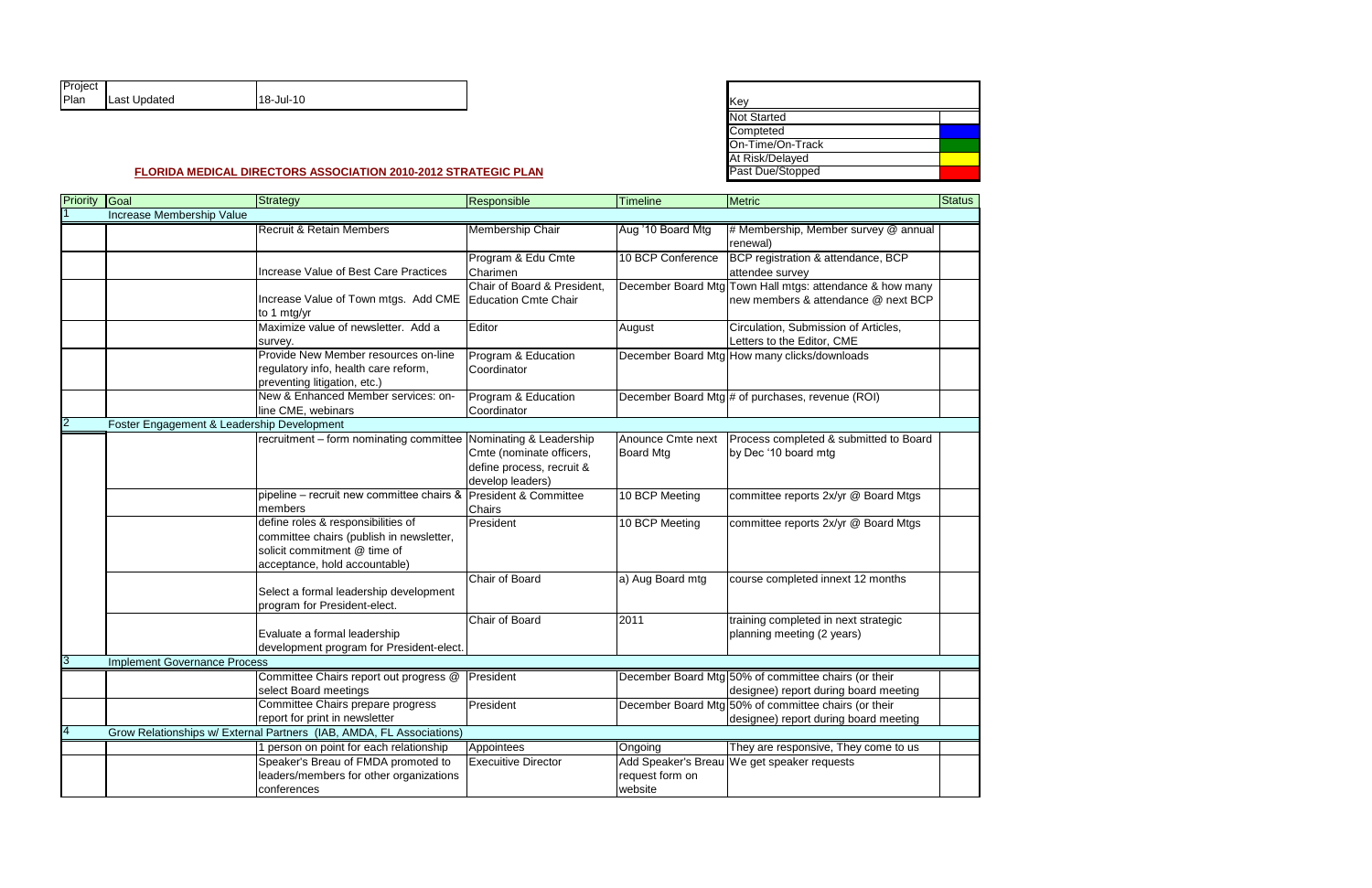| Project |              |           |
|---------|--------------|-----------|
| Plan    | Last Updated | 18-Jul-10 |

| Key                |  |
|--------------------|--|
| <b>Not Started</b> |  |
| Compteted          |  |
| On-Time/On-Track   |  |
| At Risk/Delayed    |  |
| Past Due/Stopped   |  |

| Priority | Goal                                       | Strategy                                                             | Responsible                 | Timeline            | Metric                                                   | <b>Status</b> |  |
|----------|--------------------------------------------|----------------------------------------------------------------------|-----------------------------|---------------------|----------------------------------------------------------|---------------|--|
|          | Increase Membership Value                  |                                                                      |                             |                     |                                                          |               |  |
|          |                                            | <b>Recruit &amp; Retain Members</b>                                  | <b>Membership Chair</b>     | Aug '10 Board Mtg   | # Membership, Member survey @ annual                     |               |  |
|          |                                            |                                                                      |                             |                     | renewal)                                                 |               |  |
|          |                                            |                                                                      | Program & Edu Cmte          | 10 BCP Conference   | BCP registration & attendance, BCP                       |               |  |
|          |                                            | Increase Value of Best Care Practices                                | Charimen                    |                     | attendee survey                                          |               |  |
|          |                                            |                                                                      | Chair of Board & President, |                     | December Board Mtg Town Hall mtgs: attendance & how many |               |  |
|          |                                            | Increase Value of Town mtgs. Add CME<br>to 1 mtg/yr                  | <b>Education Cmte Chair</b> |                     | new members & attendance @ next BCP                      |               |  |
|          |                                            | Maximize value of newsletter. Add a                                  | Editor                      | August              | Circulation, Submission of Articles,                     |               |  |
|          |                                            | survey.                                                              |                             |                     | Letters to the Editor, CME                               |               |  |
|          |                                            | Provide New Member resources on-line                                 | Program & Education         |                     | December Board Mtg How many clicks/downloads             |               |  |
|          |                                            | regulatory info, health care reform,                                 | Coordinator                 |                     |                                                          |               |  |
|          |                                            | preventing litigation, etc.)                                         |                             |                     |                                                          |               |  |
|          |                                            | New & Enhanced Member services: on-                                  | Program & Education         |                     | December Board Mtg # of purchases, revenue (ROI)         |               |  |
|          |                                            | line CME, webinars                                                   | Coordinator                 |                     |                                                          |               |  |
|          | Foster Engagement & Leadership Development |                                                                      |                             |                     |                                                          |               |  |
|          |                                            | recruitment - form nominating committee                              | Nominating & Leadership     | Anounce Cmte next   | Process completed & submitted to Board                   |               |  |
|          |                                            |                                                                      | Cmte (nominate officers,    | <b>Board Mtg</b>    | by Dec '10 board mtg                                     |               |  |
|          |                                            |                                                                      | define process, recruit &   |                     |                                                          |               |  |
|          |                                            |                                                                      | develop leaders)            |                     |                                                          |               |  |
|          |                                            | pipeline – recruit new committee chairs & President & Committee      |                             | 10 BCP Meeting      | committee reports 2x/yr @ Board Mtgs                     |               |  |
|          |                                            | members                                                              | Chairs                      |                     |                                                          |               |  |
|          |                                            | define roles & responsibilities of                                   | President                   | 10 BCP Meeting      | committee reports 2x/yr @ Board Mtgs                     |               |  |
|          |                                            | committee chairs (publish in newsletter,                             |                             |                     |                                                          |               |  |
|          |                                            | solicit commitment @ time of                                         |                             |                     |                                                          |               |  |
|          |                                            | acceptance, hold accountable)                                        |                             |                     |                                                          |               |  |
|          |                                            |                                                                      | Chair of Board              | a) Aug Board mtg    | course completed innext 12 months                        |               |  |
|          |                                            | Select a formal leadership development                               |                             |                     |                                                          |               |  |
|          |                                            | program for President-elect.                                         | Chair of Board              |                     |                                                          |               |  |
|          |                                            | Evaluate a formal leadership                                         |                             | 2011                | training completed in next strategic                     |               |  |
|          |                                            | development program for President-elect.                             |                             |                     | planning meeting (2 years)                               |               |  |
| 13       | <b>Implement Governance Process</b>        |                                                                      |                             |                     |                                                          |               |  |
|          |                                            |                                                                      | President                   |                     | December Board Mtg 50% of committee chairs (or their     |               |  |
|          |                                            | Committee Chairs report out progress @<br>select Board meetings      |                             |                     | designee) report during board meeting                    |               |  |
|          |                                            | Committee Chairs prepare progress                                    | President                   |                     | December Board Mtg 50% of committee chairs (or their     |               |  |
|          |                                            | report for print in newsletter                                       |                             |                     | designee) report during board meeting                    |               |  |
|          |                                            | Grow Relationships w/ External Partners (IAB, AMDA, FL Associations) |                             |                     |                                                          |               |  |
|          |                                            | 1 person on point for each relationship                              | Appointees                  | Ongoing             | They are responsive, They come to us                     |               |  |
|          |                                            | Speaker's Breau of FMDA promoted to                                  | <b>Execuitive Director</b>  | Add Speaker's Breau | We get speaker requests                                  |               |  |
|          |                                            | leaders/members for other organizations                              |                             | request form on     |                                                          |               |  |
|          |                                            | conferences                                                          |                             | website             |                                                          |               |  |
|          |                                            |                                                                      |                             |                     |                                                          |               |  |

## **FLORIDA MEDICAL DIRECTORS ASSOCIATION 2010-2012 STRATEGIC PLAN**